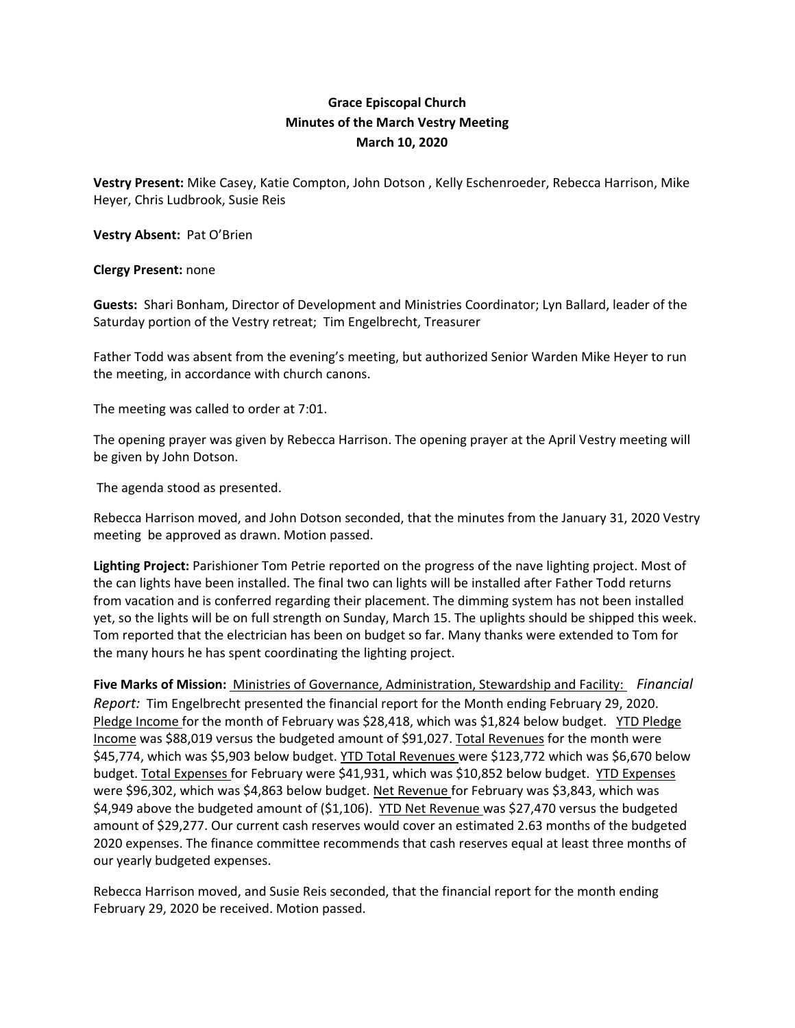## **Grace Episcopal Church Minutes of the March Vestry Meeting March 10, 2020**

**Vestry Present:** Mike Casey, Katie Compton, John Dotson , Kelly Eschenroeder, Rebecca Harrison, Mike Heyer, Chris Ludbrook, Susie Reis

**Vestry Absent:** Pat O'Brien

## **Clergy Present:** none

**Guests:** Shari Bonham, Director of Development and Ministries Coordinator; Lyn Ballard, leader of the Saturday portion of the Vestry retreat; Tim Engelbrecht, Treasurer

Father Todd was absent from the evening's meeting, but authorized Senior Warden Mike Heyer to run the meeting, in accordance with church canons.

The meeting was called to order at 7:01.

The opening prayer was given by Rebecca Harrison. The opening prayer at the April Vestry meeting will be given by John Dotson.

The agenda stood as presented.

Rebecca Harrison moved, and John Dotson seconded, that the minutes from the January 31, 2020 Vestry meeting be approved as drawn. Motion passed.

**Lighting Project:** Parishioner Tom Petrie reported on the progress of the nave lighting project. Most of the can lights have been installed. The final two can lights will be installed after Father Todd returns from vacation and is conferred regarding their placement. The dimming system has not been installed yet, so the lights will be on full strength on Sunday, March 15. The uplights should be shipped this week. Tom reported that the electrician has been on budget so far. Many thanks were extended to Tom for the many hours he has spent coordinating the lighting project.

**Five Marks of Mission:** Ministries of Governance, Administration, Stewardship and Facility:  *Financial Report:* Tim Engelbrecht presented the financial report for the Month ending February 29, 2020. Pledge Income for the month of February was \$28,418, which was \$1,824 below budget. YTD Pledge Income was \$88,019 versus the budgeted amount of \$91,027. Total Revenues for the month were \$45,774, which was \$5,903 below budget. YTD Total Revenues were \$123,772 which was \$6,670 below budget. Total Expenses for February were \$41,931, which was \$10,852 below budget. YTD Expenses were \$96,302, which was \$4,863 below budget. Net Revenue for February was \$3,843, which was \$4,949 above the budgeted amount of (\$1,106). YTD Net Revenue was \$27,470 versus the budgeted amount of \$29,277. Our current cash reserves would cover an estimated 2.63 months of the budgeted 2020 expenses. The finance committee recommends that cash reserves equal at least three months of our yearly budgeted expenses.

Rebecca Harrison moved, and Susie Reis seconded, that the financial report for the month ending February 29, 2020 be received. Motion passed.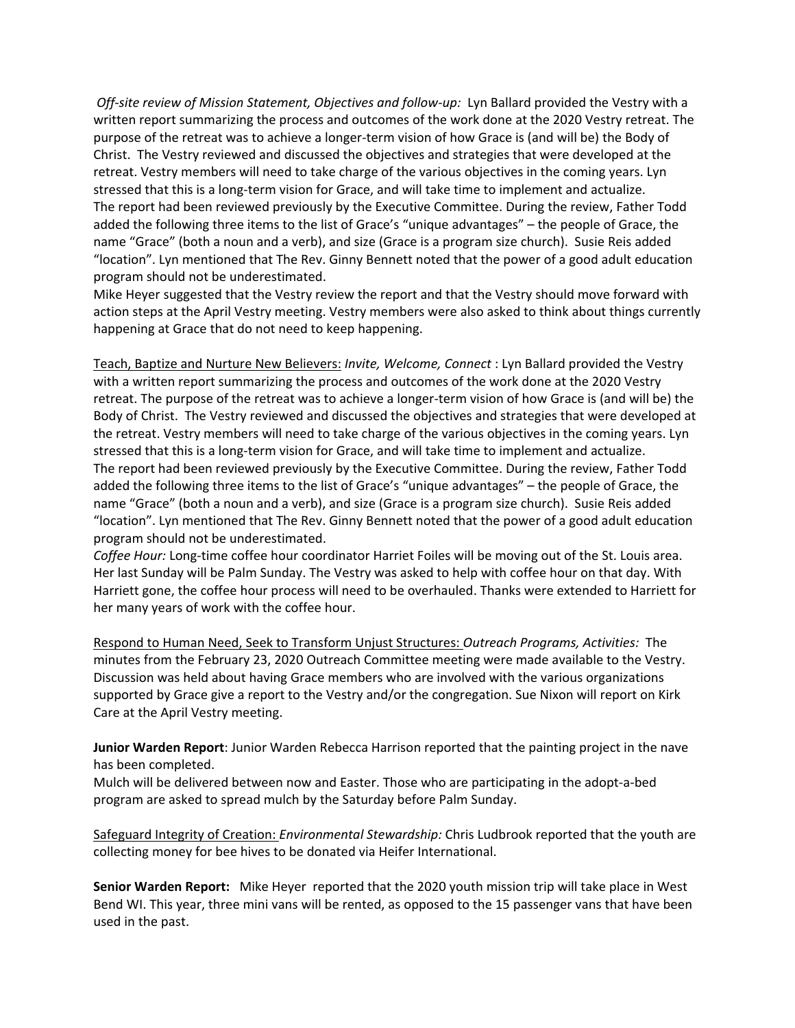*Off‐site review of Mission Statement, Objectives and follow‐up:* Lyn Ballard provided the Vestry with a written report summarizing the process and outcomes of the work done at the 2020 Vestry retreat. The purpose of the retreat was to achieve a longer-term vision of how Grace is (and will be) the Body of Christ. The Vestry reviewed and discussed the objectives and strategies that were developed at the retreat. Vestry members will need to take charge of the various objectives in the coming years. Lyn stressed that this is a long‐term vision for Grace, and will take time to implement and actualize. The report had been reviewed previously by the Executive Committee. During the review, Father Todd added the following three items to the list of Grace's "unique advantages" – the people of Grace, the name "Grace" (both a noun and a verb), and size (Grace is a program size church). Susie Reis added "location". Lyn mentioned that The Rev. Ginny Bennett noted that the power of a good adult education program should not be underestimated.

Mike Heyer suggested that the Vestry review the report and that the Vestry should move forward with action steps at the April Vestry meeting. Vestry members were also asked to think about things currently happening at Grace that do not need to keep happening.

Teach, Baptize and Nurture New Believers: *Invite, Welcome, Connect* : Lyn Ballard provided the Vestry with a written report summarizing the process and outcomes of the work done at the 2020 Vestry retreat. The purpose of the retreat was to achieve a longer‐term vision of how Grace is (and will be) the Body of Christ. The Vestry reviewed and discussed the objectives and strategies that were developed at the retreat. Vestry members will need to take charge of the various objectives in the coming years. Lyn stressed that this is a long‐term vision for Grace, and will take time to implement and actualize. The report had been reviewed previously by the Executive Committee. During the review, Father Todd added the following three items to the list of Grace's "unique advantages" – the people of Grace, the name "Grace" (both a noun and a verb), and size (Grace is a program size church). Susie Reis added "location". Lyn mentioned that The Rev. Ginny Bennett noted that the power of a good adult education program should not be underestimated.

*Coffee Hour:* Long‐time coffee hour coordinator Harriet Foiles will be moving out of the St. Louis area. Her last Sunday will be Palm Sunday. The Vestry was asked to help with coffee hour on that day. With Harriett gone, the coffee hour process will need to be overhauled. Thanks were extended to Harriett for her many years of work with the coffee hour.

Respond to Human Need, Seek to Transform Unjust Structures: *Outreach Programs, Activities:* The minutes from the February 23, 2020 Outreach Committee meeting were made available to the Vestry. Discussion was held about having Grace members who are involved with the various organizations supported by Grace give a report to the Vestry and/or the congregation. Sue Nixon will report on Kirk Care at the April Vestry meeting.

**Junior Warden Report**: Junior Warden Rebecca Harrison reported that the painting project in the nave has been completed.

Mulch will be delivered between now and Easter. Those who are participating in the adopt-a-bed program are asked to spread mulch by the Saturday before Palm Sunday.

Safeguard Integrity of Creation: *Environmental Stewardship:* Chris Ludbrook reported that the youth are collecting money for bee hives to be donated via Heifer International.

**Senior Warden Report:** Mike Heyer reported that the 2020 youth mission trip will take place in West Bend WI. This year, three mini vans will be rented, as opposed to the 15 passenger vans that have been used in the past.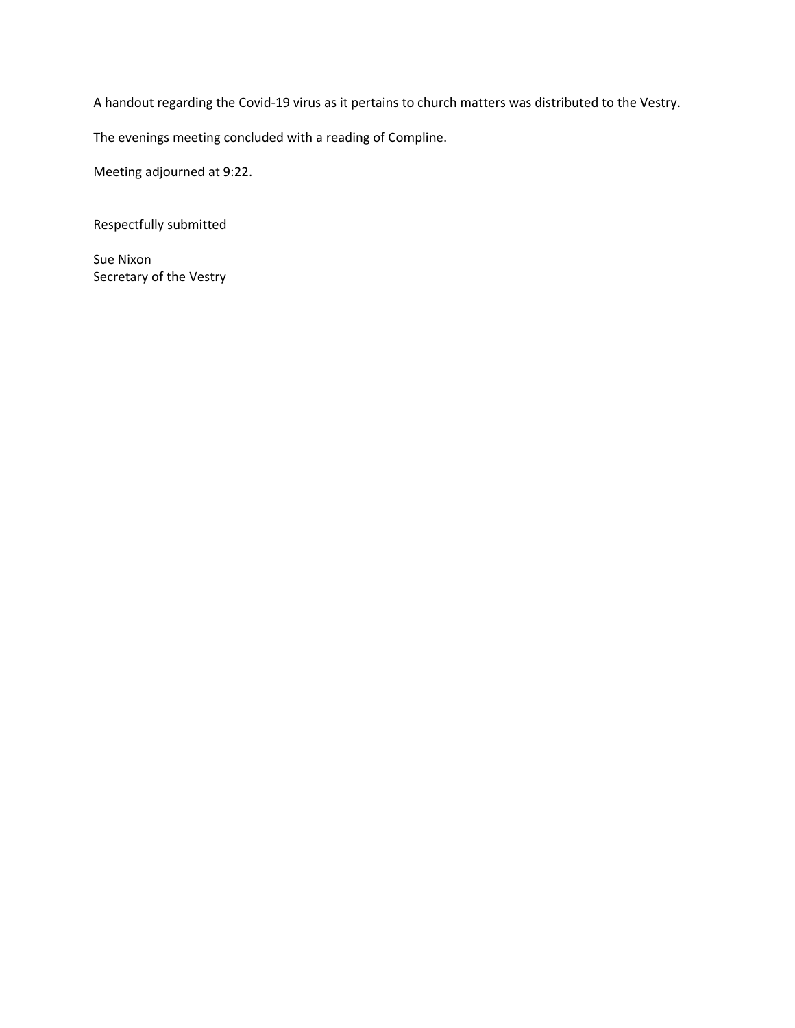A handout regarding the Covid‐19 virus as it pertains to church matters was distributed to the Vestry.

The evenings meeting concluded with a reading of Compline.

Meeting adjourned at 9:22.

Respectfully submitted

Sue Nixon Secretary of the Vestry